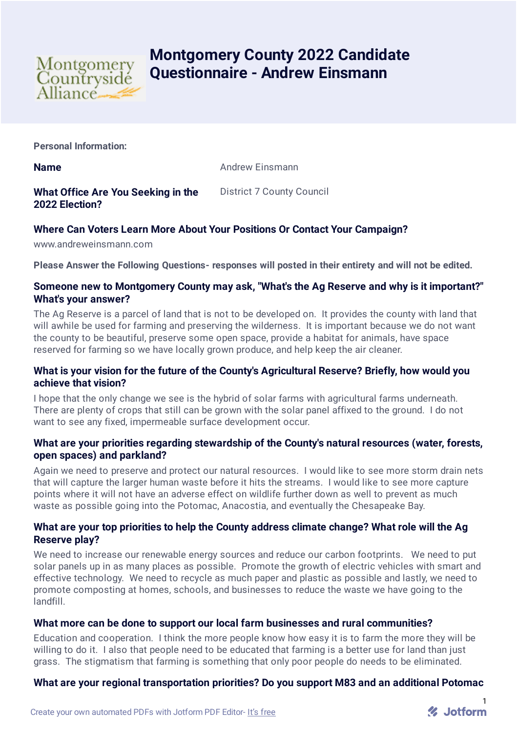

# **Montgomery County 2022 Candidate Questionnaire - Andrew Einsmann**

**Personal Information:**

**Name** Andrew Einsmann

#### **What Office Are You Seeking in the 2022 Election?** District 7 County Council

# **Where Can Voters Learn More About Your Positions Or Contact Your Campaign?**

www.andreweinsmann.com

**Please Answer the Following Questions- responses will posted in their entirety and will not be edited.**

# **Someone new to Montgomery County may ask, "What's the Ag Reserve and why is it important?" What's your answer?**

The Ag Reserve is a parcel of land that is not to be developed on. It provides the county with land that will awhile be used for farming and preserving the wilderness. It is important because we do not want the county to be beautiful, preserve some open space, provide a habitat for animals, have space reserved for farming so we have locally grown produce, and help keep the air cleaner.

# **What is your vision for the future of the County's Agricultural Reserve? Briefly, how would you achieve that vision?**

I hope that the only change we see is the hybrid of solar farms with agricultural farms underneath. There are plenty of crops that still can be grown with the solar panel affixed to the ground. I do not want to see any fixed, impermeable surface development occur.

# **What are your priorities regarding stewardship of the County's natural resources (water, forests, open spaces) and parkland?**

Again we need to preserve and protect our natural resources. I would like to see more storm drain nets that will capture the larger human waste before it hits the streams. I would like to see more capture points where it will not have an adverse effect on wildlife further down as well to prevent as much waste as possible going into the Potomac, Anacostia, and eventually the Chesapeake Bay.

# **What are your top priorities to help the County address climate change? What role will the Ag Reserve play?**

We need to increase our renewable energy sources and reduce our carbon footprints. We need to put solar panels up in as many places as possible. Promote the growth of electric vehicles with smart and effective technology. We need to recycle as much paper and plastic as possible and lastly, we need to promote composting at homes, schools, and businesses to reduce the waste we have going to the landfill.

# **What more can be done to support our local farm businesses and rural communities?**

Education and cooperation. I think the more people know how easy it is to farm the more they will be willing to do it. I also that people need to be educated that farming is a better use for land than just grass. The stigmatism that farming is something that only poor people do needs to be eliminated.

# **What are your regional transportation priorities? Do you support M83 and an additional Potomac**